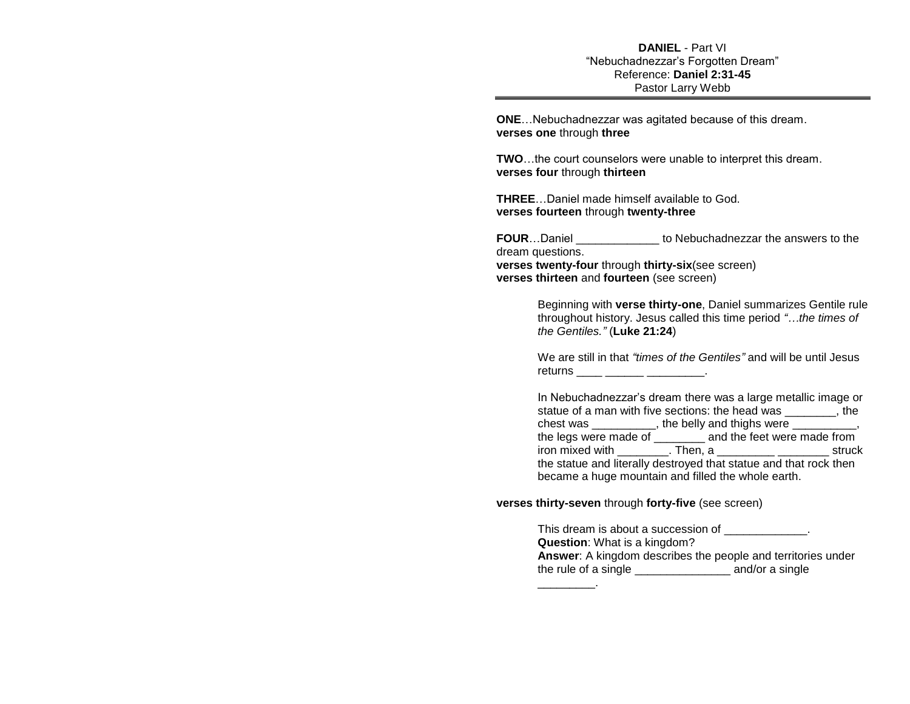## **DANIEL** - Part VI "Nebuchadnezzar's Forgotten Dream" Reference: **Daniel 2:31-45** Pastor Larry Webb

**ONE**…Nebuchadnezzar was agitated because of this dream. **verses one** through **three** 

**TWO**…the court counselors were unable to interpret this dream. **verses four** through **thirteen** 

**THREE**…Daniel made himself available to God. **verses fourteen** through **twenty-three**

**FOUR**...Daniel **FOUR** to Nebuchadnezzar the answers to the dream questions. **verses twenty-four** through **thirty-six**(see screen)

**verses thirteen** and **fourteen** (see screen)

Beginning with **verse thirty-one**, Daniel summarizes Gentile rule throughout history. Jesus called this time period *"…the times of the Gentiles."* (**Luke 21:24**)

We are still in that *"times of the Gentiles"* and will be until Jesus returns \_\_\_\_ \_\_\_\_\_\_ \_\_\_\_\_\_\_\_.

In Nebuchadnezzar's dream there was a large metallic image or statue of a man with five sections: the head was , the chest was \_\_\_\_\_\_\_\_\_, the belly and thighs were \_\_\_\_\_\_\_\_, the legs were made of \_\_\_\_\_\_\_\_ and the feet were made from iron mixed with Then, a Then struck the statue and literally destroyed that statue and that rock then became a huge mountain and filled the whole earth.

**verses thirty-seven** through **forty-five** (see screen)

This dream is about a succession of  $\qquad \qquad$ **Question**: What is a kingdom? **Answer**: A kingdom describes the people and territories under the rule of a single \_\_\_\_\_\_\_\_\_\_\_\_\_\_\_ and/or a single  $\overline{\phantom{a}}$  .